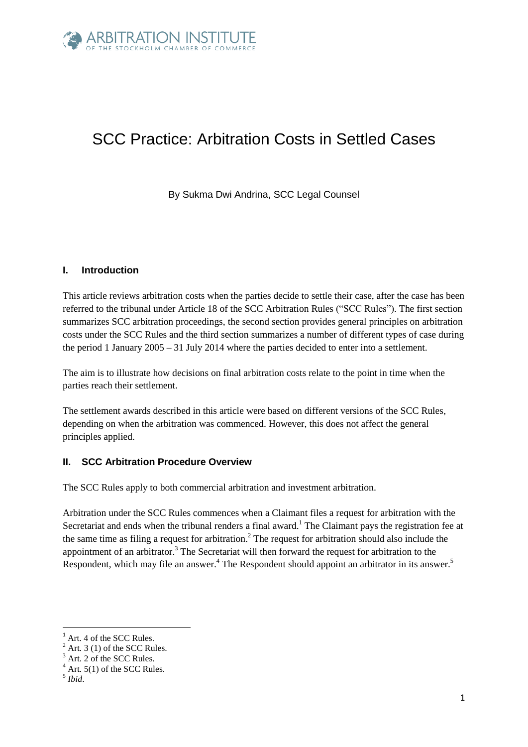

# SCC Practice: Arbitration Costs in Settled Cases

By Sukma Dwi Andrina, SCC Legal Counsel

## **I. Introduction**

This article reviews arbitration costs when the parties decide to settle their case, after the case has been referred to the tribunal under Article 18 of the SCC Arbitration Rules ("SCC Rules"). The first section summarizes SCC arbitration proceedings, the second section provides general principles on arbitration costs under the SCC Rules and the third section summarizes a number of different types of case during the period 1 January 2005 – 31 July 2014 where the parties decided to enter into a settlement.

The aim is to illustrate how decisions on final arbitration costs relate to the point in time when the parties reach their settlement.

The settlement awards described in this article were based on different versions of the SCC Rules, depending on when the arbitration was commenced. However, this does not affect the general principles applied.

## **II. SCC Arbitration Procedure Overview**

The SCC Rules apply to both commercial arbitration and investment arbitration.

Arbitration under the SCC Rules commences when a Claimant files a request for arbitration with the Secretariat and ends when the tribunal renders a final award.<sup>1</sup> The Claimant pays the registration fee at the same time as filing a request for arbitration.<sup>2</sup> The request for arbitration should also include the appointment of an arbitrator.<sup>3</sup> The Secretariat will then forward the request for arbitration to the Respondent, which may file an answer.<sup>4</sup> The Respondent should appoint an arbitrator in its answer.<sup>5</sup>

**.** 

Art. 4 of the SCC Rules.

 $2$  Art. 3 (1) of the SCC Rules.

Art. 2 of the SCC Rules.

 $4$  Art. 5(1) of the SCC Rules.

<sup>5</sup> *Ibid*.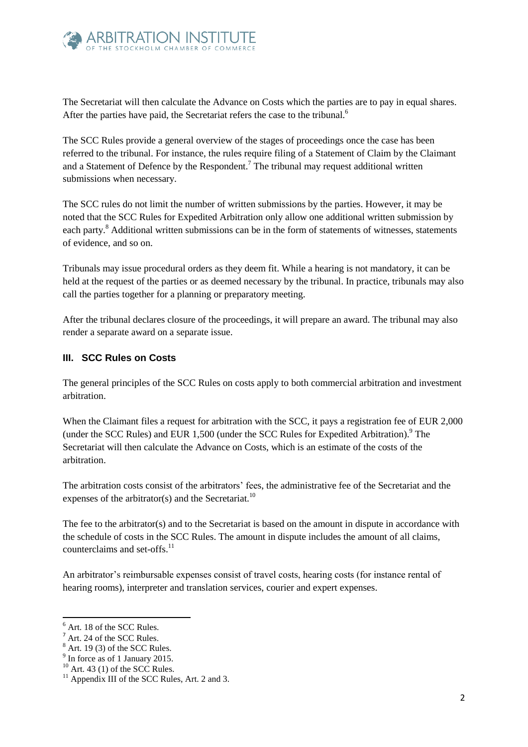

The Secretariat will then calculate the Advance on Costs which the parties are to pay in equal shares. After the parties have paid, the Secretariat refers the case to the tribunal.<sup>6</sup>

The SCC Rules provide a general overview of the stages of proceedings once the case has been referred to the tribunal. For instance, the rules require filing of a Statement of Claim by the Claimant and a Statement of Defence by the Respondent.<sup>7</sup> The tribunal may request additional written submissions when necessary.

The SCC rules do not limit the number of written submissions by the parties. However, it may be noted that the SCC Rules for Expedited Arbitration only allow one additional written submission by each party.<sup>8</sup> Additional written submissions can be in the form of statements of witnesses, statements of evidence, and so on.

Tribunals may issue procedural orders as they deem fit. While a hearing is not mandatory, it can be held at the request of the parties or as deemed necessary by the tribunal. In practice, tribunals may also call the parties together for a planning or preparatory meeting.

After the tribunal declares closure of the proceedings, it will prepare an award. The tribunal may also render a separate award on a separate issue.

## **III. SCC Rules on Costs**

The general principles of the SCC Rules on costs apply to both commercial arbitration and investment arbitration.

When the Claimant files a request for arbitration with the SCC, it pays a registration fee of EUR 2,000 (under the SCC Rules) and EUR 1,500 (under the SCC Rules for Expedited Arbitration). <sup>9</sup> The Secretariat will then calculate the Advance on Costs, which is an estimate of the costs of the arbitration.

The arbitration costs consist of the arbitrators' fees, the administrative fee of the Secretariat and the expenses of the arbitrator(s) and the Secretariat.<sup>10</sup>

The fee to the arbitrator(s) and to the Secretariat is based on the amount in dispute in accordance with the schedule of costs in the SCC Rules. The amount in dispute includes the amount of all claims, counterclaims and set-offs.<sup>11</sup>

An arbitrator's reimbursable expenses consist of travel costs, hearing costs (for instance rental of hearing rooms), interpreter and translation services, courier and expert expenses.

**.** 

 $6$  Art. 18 of the SCC Rules.

Art. 24 of the SCC Rules.

 $8$  Art. 19 (3) of the SCC Rules.

<sup>&</sup>lt;sup>9</sup> In force as of 1 January 2015.

 $10$  Art. 43 (1) of the SCC Rules.

<sup>&</sup>lt;sup>11</sup> Appendix III of the SCC Rules, Art. 2 and 3.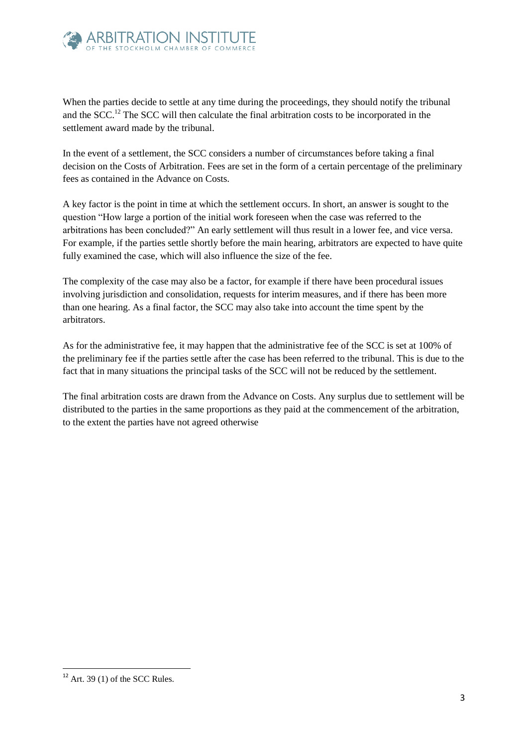

When the parties decide to settle at any time during the proceedings, they should notify the tribunal and the SCC.<sup>12</sup> The SCC will then calculate the final arbitration costs to be incorporated in the settlement award made by the tribunal.

In the event of a settlement, the SCC considers a number of circumstances before taking a final decision on the Costs of Arbitration. Fees are set in the form of a certain percentage of the preliminary fees as contained in the Advance on Costs.

A key factor is the point in time at which the settlement occurs. In short, an answer is sought to the question "How large a portion of the initial work foreseen when the case was referred to the arbitrations has been concluded?" An early settlement will thus result in a lower fee, and vice versa. For example, if the parties settle shortly before the main hearing, arbitrators are expected to have quite fully examined the case, which will also influence the size of the fee.

The complexity of the case may also be a factor, for example if there have been procedural issues involving jurisdiction and consolidation, requests for interim measures, and if there has been more than one hearing. As a final factor, the SCC may also take into account the time spent by the arbitrators.

As for the administrative fee, it may happen that the administrative fee of the SCC is set at 100% of the preliminary fee if the parties settle after the case has been referred to the tribunal. This is due to the fact that in many situations the principal tasks of the SCC will not be reduced by the settlement.

The final arbitration costs are drawn from the Advance on Costs. Any surplus due to settlement will be distributed to the parties in the same proportions as they paid at the commencement of the arbitration, to the extent the parties have not agreed otherwise

**<sup>.</sup>**  $12$  Art. 39 (1) of the SCC Rules.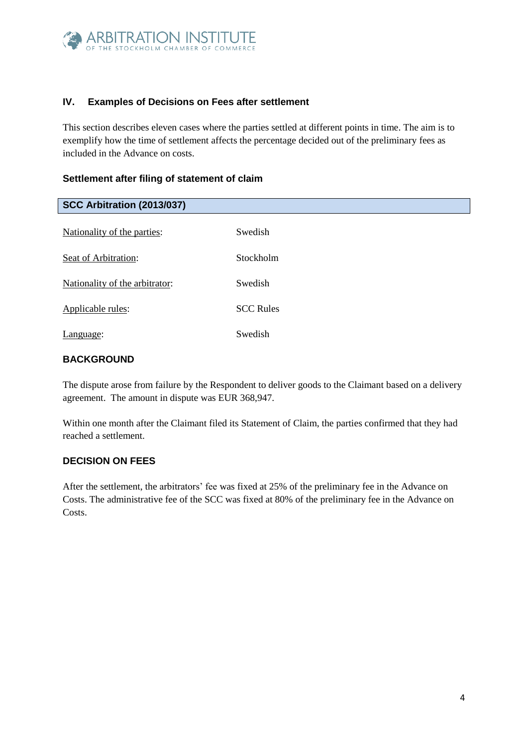

## **IV. Examples of Decisions on Fees after settlement**

This section describes eleven cases where the parties settled at different points in time. The aim is to exemplify how the time of settlement affects the percentage decided out of the preliminary fees as included in the Advance on costs.

## **Settlement after filing of statement of claim**

| SCC Arbitration (2013/037)     |                  |
|--------------------------------|------------------|
| Nationality of the parties:    | Swedish          |
| Seat of Arbitration:           | Stockholm        |
| Nationality of the arbitrator: | Swedish          |
| Applicable rules:              | <b>SCC Rules</b> |
| Language:                      | Swedish          |

## **BACKGROUND**

The dispute arose from failure by the Respondent to deliver goods to the Claimant based on a delivery agreement. The amount in dispute was EUR 368,947.

Within one month after the Claimant filed its Statement of Claim, the parties confirmed that they had reached a settlement.

## **DECISION ON FEES**

After the settlement, the arbitrators' fee was fixed at 25% of the preliminary fee in the Advance on Costs. The administrative fee of the SCC was fixed at 80% of the preliminary fee in the Advance on Costs.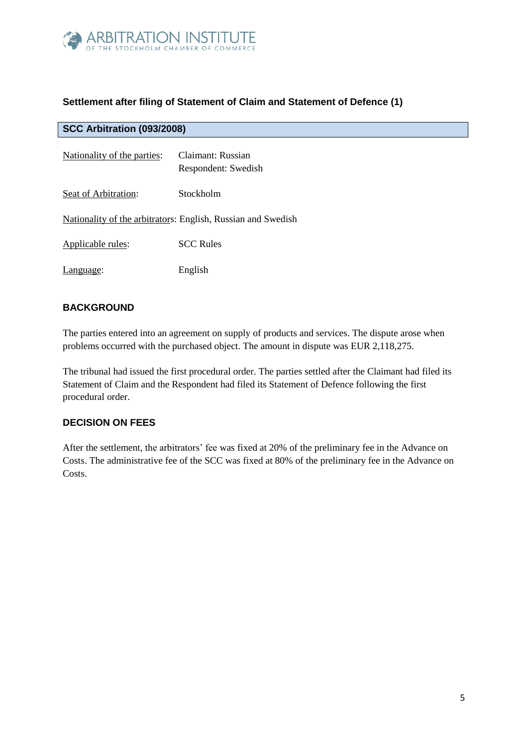

# **Settlement after filing of Statement of Claim and Statement of Defence (1)**

| SCC Arbitration (093/2008)  |                                                              |
|-----------------------------|--------------------------------------------------------------|
| Nationality of the parties: | Claimant: Russian<br>Respondent: Swedish                     |
| Seat of Arbitration:        | Stockholm                                                    |
|                             | Nationality of the arbitrators: English, Russian and Swedish |
| Applicable rules:           | <b>SCC Rules</b>                                             |
| Language:                   | English                                                      |

## **BACKGROUND**

The parties entered into an agreement on supply of products and services. The dispute arose when problems occurred with the purchased object. The amount in dispute was EUR 2,118,275.

The tribunal had issued the first procedural order. The parties settled after the Claimant had filed its Statement of Claim and the Respondent had filed its Statement of Defence following the first procedural order.

## **DECISION ON FEES**

After the settlement, the arbitrators' fee was fixed at 20% of the preliminary fee in the Advance on Costs. The administrative fee of the SCC was fixed at 80% of the preliminary fee in the Advance on Costs.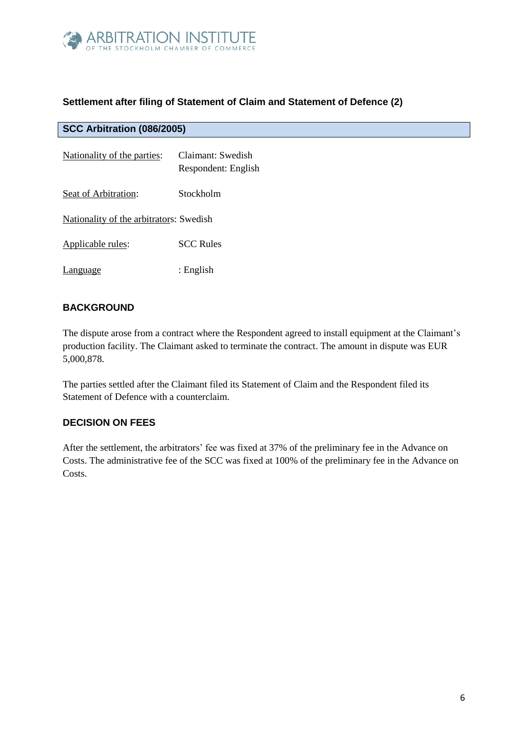

# **Settlement after filing of Statement of Claim and Statement of Defence (2)**

| <b>SCC Arbitration (086/2005)</b>       |                                          |
|-----------------------------------------|------------------------------------------|
| Nationality of the parties:             | Claimant: Swedish<br>Respondent: English |
| Seat of Arbitration:                    | Stockholm                                |
| Nationality of the arbitrators: Swedish |                                          |
| Applicable rules:                       | <b>SCC Rules</b>                         |
| anguage                                 | : English                                |

# **BACKGROUND**

The dispute arose from a contract where the Respondent agreed to install equipment at the Claimant's production facility. The Claimant asked to terminate the contract. The amount in dispute was EUR 5,000,878.

The parties settled after the Claimant filed its Statement of Claim and the Respondent filed its Statement of Defence with a counterclaim.

## **DECISION ON FEES**

After the settlement, the arbitrators' fee was fixed at 37% of the preliminary fee in the Advance on Costs. The administrative fee of the SCC was fixed at 100% of the preliminary fee in the Advance on Costs.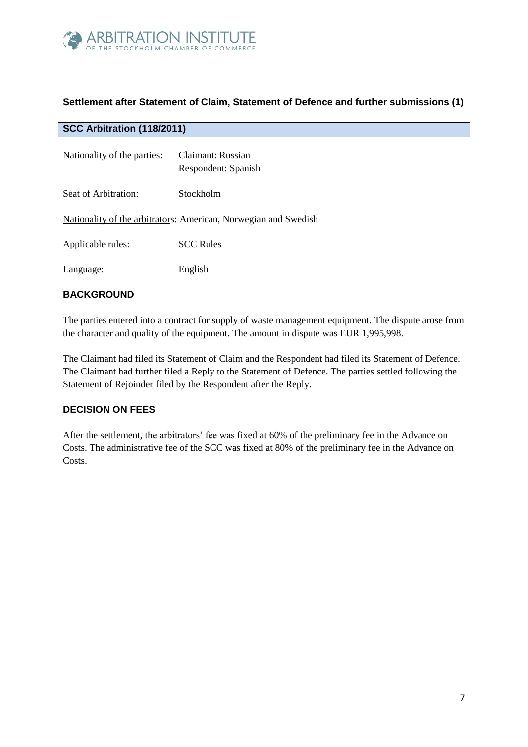

# **Settlement after Statement of Claim, Statement of Defence and further submissions (1)**

#### **SCC Arbitration (118/2011)**

| Nationality of the parties: | Claimant: Russian<br>Respondent: Spanish                        |
|-----------------------------|-----------------------------------------------------------------|
| Seat of Arbitration:        | Stockholm                                                       |
|                             | Nationality of the arbitrators: American, Norwegian and Swedish |
| Applicable rules:           | <b>SCC Rules</b>                                                |
| Language:                   | English                                                         |

#### **BACKGROUND**

The parties entered into a contract for supply of waste management equipment. The dispute arose from the character and quality of the equipment. The amount in dispute was EUR 1,995,998.

The Claimant had filed its Statement of Claim and the Respondent had filed its Statement of Defence. The Claimant had further filed a Reply to the Statement of Defence. The parties settled following the Statement of Rejoinder filed by the Respondent after the Reply.

#### **DECISION ON FEES**

After the settlement, the arbitrators' fee was fixed at 60% of the preliminary fee in the Advance on Costs. The administrative fee of the SCC was fixed at 80% of the preliminary fee in the Advance on Costs.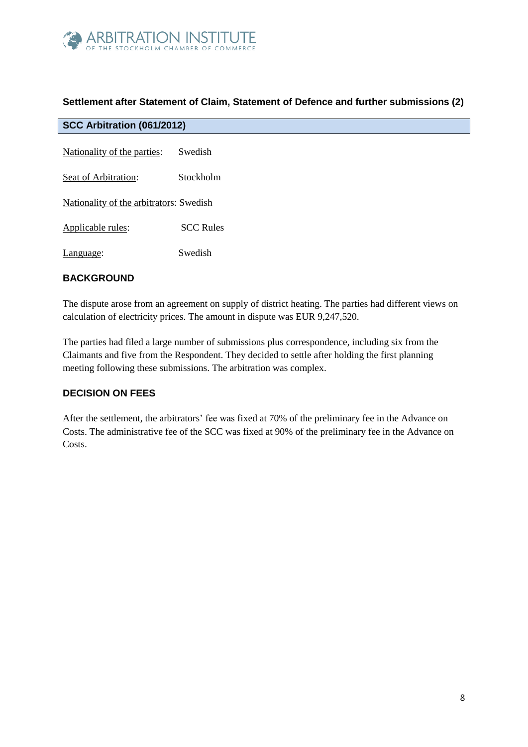

## **Settlement after Statement of Claim, Statement of Defence and further submissions (2)**

| SCC Arbitration (061/2012)              |                  |
|-----------------------------------------|------------------|
| Nationality of the parties:             | Swedish          |
| Seat of Arbitration:                    | Stockholm        |
| Nationality of the arbitrators: Swedish |                  |
| Applicable rules:                       | <b>SCC Rules</b> |
| Language:                               | Swedish          |

## **BACKGROUND**

The dispute arose from an agreement on supply of district heating. The parties had different views on calculation of electricity prices. The amount in dispute was EUR 9,247,520.

The parties had filed a large number of submissions plus correspondence, including six from the Claimants and five from the Respondent. They decided to settle after holding the first planning meeting following these submissions. The arbitration was complex.

## **DECISION ON FEES**

After the settlement, the arbitrators' fee was fixed at 70% of the preliminary fee in the Advance on Costs. The administrative fee of the SCC was fixed at 90% of the preliminary fee in the Advance on Costs.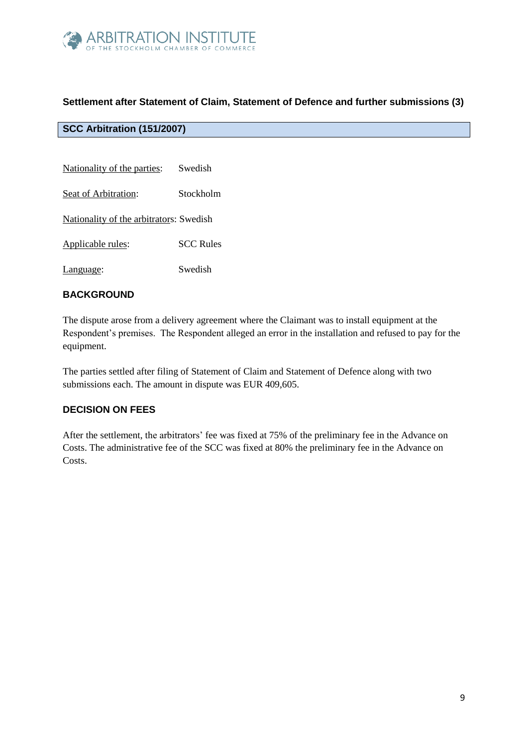

# **Settlement after Statement of Claim, Statement of Defence and further submissions (3)**

# **SCC Arbitration (151/2007)**

| Swedish                                 |
|-----------------------------------------|
| Stockholm                               |
| Nationality of the arbitrators: Swedish |
| <b>SCC Rules</b>                        |
|                                         |

Language: Swedish

## **BACKGROUND**

The dispute arose from a delivery agreement where the Claimant was to install equipment at the Respondent's premises. The Respondent alleged an error in the installation and refused to pay for the equipment.

The parties settled after filing of Statement of Claim and Statement of Defence along with two submissions each. The amount in dispute was EUR 409,605.

## **DECISION ON FEES**

After the settlement, the arbitrators' fee was fixed at 75% of the preliminary fee in the Advance on Costs. The administrative fee of the SCC was fixed at 80% the preliminary fee in the Advance on Costs.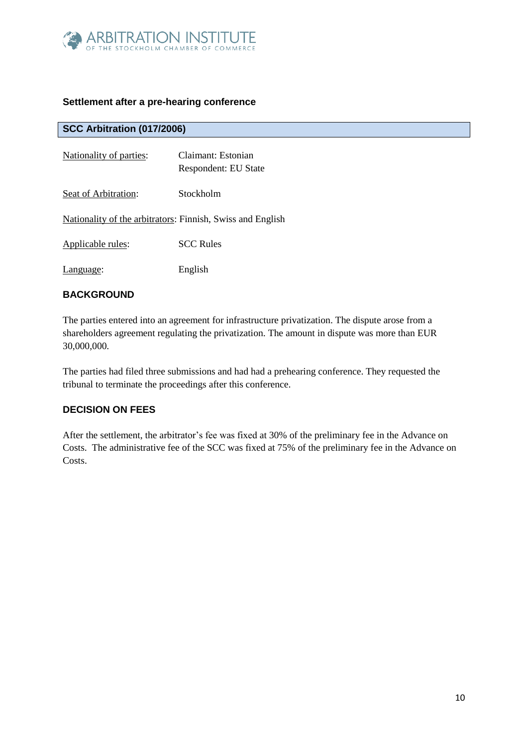

## **Settlement after a pre-hearing conference**

# **SCC Arbitration (017/2006)**

| Nationality of parties:                                    | Claimant: Estonian<br>Respondent: EU State |
|------------------------------------------------------------|--------------------------------------------|
| Seat of Arbitration:                                       | Stockholm                                  |
| Nationality of the arbitrators: Finnish, Swiss and English |                                            |
| Applicable rules:                                          | <b>SCC Rules</b>                           |
| Language:                                                  | English                                    |

#### **BACKGROUND**

The parties entered into an agreement for infrastructure privatization. The dispute arose from a shareholders agreement regulating the privatization. The amount in dispute was more than EUR 30,000,000.

The parties had filed three submissions and had had a prehearing conference. They requested the tribunal to terminate the proceedings after this conference.

## **DECISION ON FEES**

After the settlement, the arbitrator's fee was fixed at 30% of the preliminary fee in the Advance on Costs. The administrative fee of the SCC was fixed at 75% of the preliminary fee in the Advance on Costs.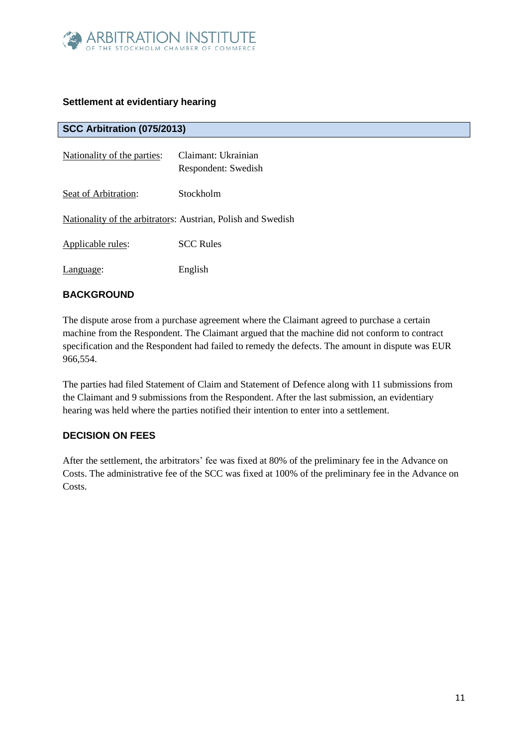

## **Settlement at evidentiary hearing**

## **SCC Arbitration (075/2013)**

| Nationality of the parties: | Claimant: Ukrainian<br>Respondent: Swedish                   |
|-----------------------------|--------------------------------------------------------------|
| Seat of Arbitration:        | Stockholm                                                    |
|                             | Nationality of the arbitrators: Austrian, Polish and Swedish |
| Applicable rules:           | <b>SCC Rules</b>                                             |
| Language:                   | English                                                      |

#### **BACKGROUND**

The dispute arose from a purchase agreement where the Claimant agreed to purchase a certain machine from the Respondent. The Claimant argued that the machine did not conform to contract specification and the Respondent had failed to remedy the defects. The amount in dispute was EUR 966,554.

The parties had filed Statement of Claim and Statement of Defence along with 11 submissions from the Claimant and 9 submissions from the Respondent. After the last submission, an evidentiary hearing was held where the parties notified their intention to enter into a settlement.

## **DECISION ON FEES**

After the settlement, the arbitrators' fee was fixed at 80% of the preliminary fee in the Advance on Costs. The administrative fee of the SCC was fixed at 100% of the preliminary fee in the Advance on Costs.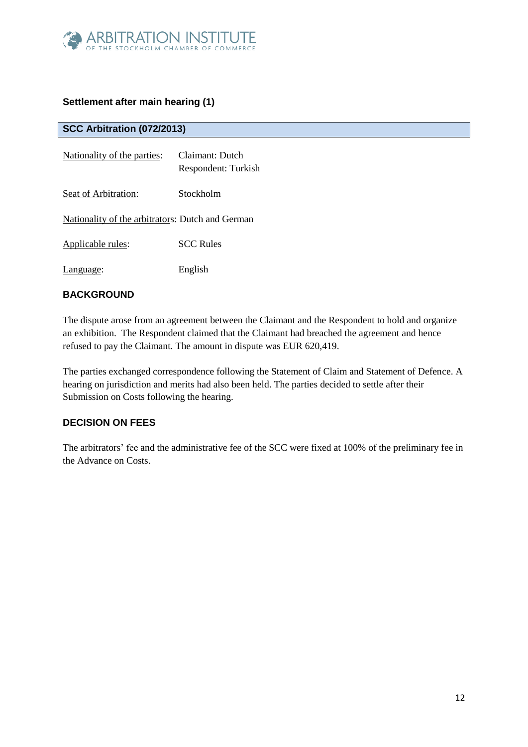

# **Settlement after main hearing (1)**

## **SCC Arbitration (072/2013)**

| Nationality of the parties:                      | Claimant: Dutch<br>Respondent: Turkish |
|--------------------------------------------------|----------------------------------------|
| Seat of Arbitration:                             | Stockholm                              |
| Nationality of the arbitrators: Dutch and German |                                        |
| Applicable rules:                                | <b>SCC Rules</b>                       |
| Language:                                        | English                                |

## **BACKGROUND**

The dispute arose from an agreement between the Claimant and the Respondent to hold and organize an exhibition. The Respondent claimed that the Claimant had breached the agreement and hence refused to pay the Claimant. The amount in dispute was EUR 620,419.

The parties exchanged correspondence following the Statement of Claim and Statement of Defence. A hearing on jurisdiction and merits had also been held. The parties decided to settle after their Submission on Costs following the hearing.

## **DECISION ON FEES**

The arbitrators' fee and the administrative fee of the SCC were fixed at 100% of the preliminary fee in the Advance on Costs.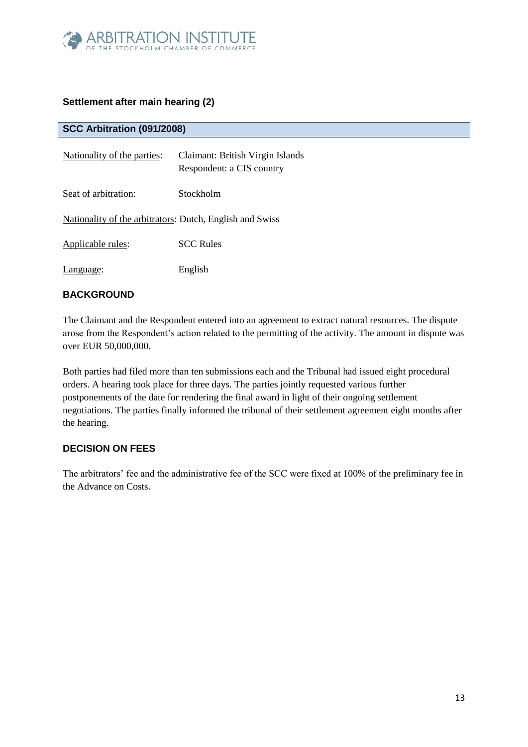

# **Settlement after main hearing (2)**

**SCC Arbitration (091/2008)**

| Nationality of the parties:                              | Claimant: British Virgin Islands<br>Respondent: a CIS country |
|----------------------------------------------------------|---------------------------------------------------------------|
| Seat of arbitration:                                     | Stockholm                                                     |
| Nationality of the arbitrators: Dutch, English and Swiss |                                                               |
| Applicable rules:                                        | <b>SCC Rules</b>                                              |
| Language:                                                | English                                                       |

## **BACKGROUND**

The Claimant and the Respondent entered into an agreement to extract natural resources. The dispute arose from the Respondent's action related to the permitting of the activity. The amount in dispute was over EUR 50,000,000.

Both parties had filed more than ten submissions each and the Tribunal had issued eight procedural orders. A hearing took place for three days. The parties jointly requested various further postponements of the date for rendering the final award in light of their ongoing settlement negotiations. The parties finally informed the tribunal of their settlement agreement eight months after the hearing.

## **DECISION ON FEES**

The arbitrators' fee and the administrative fee of the SCC were fixed at 100% of the preliminary fee in the Advance on Costs.